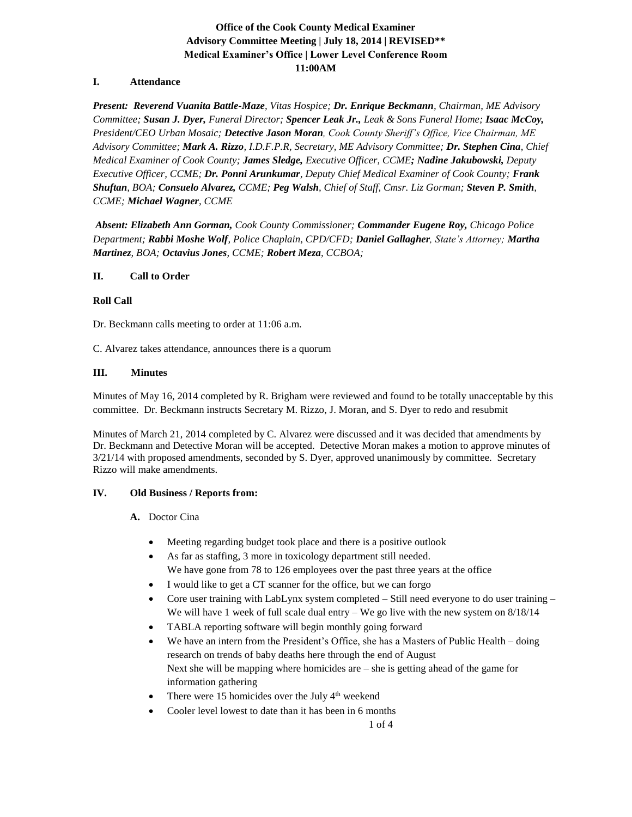# **Office of the Cook County Medical Examiner Advisory Committee Meeting | July 18, 2014 | REVISED\*\* Medical Examiner's Office | Lower Level Conference Room 11:00AM**

### **I. Attendance**

*Present: Reverend Vuanita Battle-Maze, Vitas Hospice; Dr. Enrique Beckmann, Chairman, ME Advisory Committee; Susan J. Dyer, Funeral Director; Spencer Leak Jr., Leak & Sons Funeral Home; Isaac McCoy, President/CEO Urban Mosaic; Detective Jason Moran, Cook County Sheriff's Office, Vice Chairman, ME Advisory Committee; Mark A. Rizzo, I.D.F.P.R, Secretary, ME Advisory Committee; Dr. Stephen Cina, Chief Medical Examiner of Cook County; James Sledge, Executive Officer, CCME; Nadine Jakubowski, Deputy Executive Officer, CCME; Dr. Ponni Arunkumar, Deputy Chief Medical Examiner of Cook County; Frank Shuftan, BOA; Consuelo Alvarez, CCME; Peg Walsh, Chief of Staff, Cmsr. Liz Gorman; Steven P. Smith, CCME; Michael Wagner, CCME* 

*Absent: Elizabeth Ann Gorman, Cook County Commissioner; Commander Eugene Roy, Chicago Police Department; Rabbi Moshe Wolf, Police Chaplain, CPD/CFD; Daniel Gallagher, State's Attorney; Martha Martinez, BOA; Octavius Jones, CCME; Robert Meza, CCBOA;*

### **II. Call to Order**

### **Roll Call**

Dr. Beckmann calls meeting to order at 11:06 a.m.

C. Alvarez takes attendance, announces there is a quorum

### **III. Minutes**

Minutes of May 16, 2014 completed by R. Brigham were reviewed and found to be totally unacceptable by this committee. Dr. Beckmann instructs Secretary M. Rizzo, J. Moran, and S. Dyer to redo and resubmit

Minutes of March 21, 2014 completed by C. Alvarez were discussed and it was decided that amendments by Dr. Beckmann and Detective Moran will be accepted. Detective Moran makes a motion to approve minutes of 3/21/14 with proposed amendments, seconded by S. Dyer, approved unanimously by committee. Secretary Rizzo will make amendments.

## **IV. Old Business / Reports from:**

### **A.** Doctor Cina

- Meeting regarding budget took place and there is a positive outlook
- As far as staffing, 3 more in toxicology department still needed. We have gone from 78 to 126 employees over the past three years at the office
- I would like to get a CT scanner for the office, but we can forgo
- Core user training with LabLynx system completed  $-$  Still need everyone to do user training  $-$ We will have 1 week of full scale dual entry – We go live with the new system on  $8/18/14$
- TABLA reporting software will begin monthly going forward
- We have an intern from the President's Office, she has a Masters of Public Health doing research on trends of baby deaths here through the end of August Next she will be mapping where homicides are – she is getting ahead of the game for information gathering
- There were 15 homicides over the July  $4<sup>th</sup>$  weekend
- Cooler level lowest to date than it has been in 6 months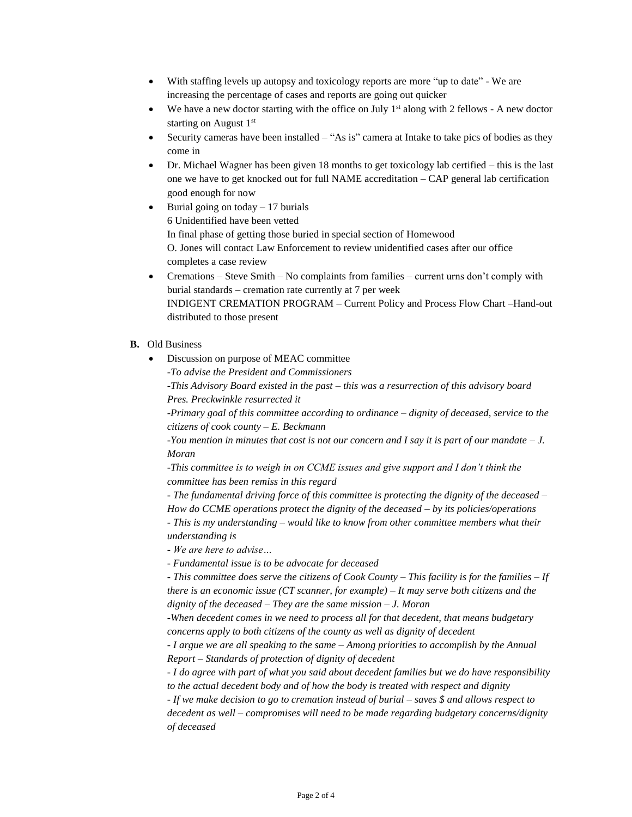- With staffing levels up autopsy and toxicology reports are more "up to date" We are increasing the percentage of cases and reports are going out quicker
- We have a new doctor starting with the office on July  $1<sup>st</sup>$  along with 2 fellows A new doctor starting on August  $1<sup>st</sup>$
- Security cameras have been installed  $-$  "As is" camera at Intake to take pics of bodies as they come in
- Dr. Michael Wagner has been given 18 months to get toxicology lab certified this is the last one we have to get knocked out for full NAME accreditation – CAP general lab certification good enough for now
- Burial going on today  $-17$  burials 6 Unidentified have been vetted In final phase of getting those buried in special section of Homewood O. Jones will contact Law Enforcement to review unidentified cases after our office completes a case review
- Cremations Steve Smith No complaints from families current urns don't comply with burial standards – cremation rate currently at 7 per week INDIGENT CREMATION PROGRAM – Current Policy and Process Flow Chart –Hand-out distributed to those present
- **B.** Old Business
	- Discussion on purpose of MEAC committee
		- *-To advise the President and Commissioners*

*-This Advisory Board existed in the past – this was a resurrection of this advisory board Pres. Preckwinkle resurrected it* 

*-Primary goal of this committee according to ordinance – dignity of deceased, service to the citizens of cook county – E. Beckmann*

*-You mention in minutes that cost is not our concern and I say it is part of our mandate – J. Moran*

*-This committee is to weigh in on CCME issues and give support and I don't think the committee has been remiss in this regard*

*- The fundamental driving force of this committee is protecting the dignity of the deceased –*

*How do CCME operations protect the dignity of the deceased – by its policies/operations - This is my understanding – would like to know from other committee members what their* 

- *understanding is*
- *- We are here to advise…*

*- Fundamental issue is to be advocate for deceased*

*- This committee does serve the citizens of Cook County – This facility is for the families – If there is an economic issue (CT scanner, for example) – It may serve both citizens and the dignity of the deceased – They are the same mission – J. Moran*

*-When decedent comes in we need to process all for that decedent, that means budgetary concerns apply to both citizens of the county as well as dignity of decedent* 

*- I argue we are all speaking to the same – Among priorities to accomplish by the Annual Report – Standards of protection of dignity of decedent*

*- I do agree with part of what you said about decedent families but we do have responsibility to the actual decedent body and of how the body is treated with respect and dignity*

*- If we make decision to go to cremation instead of burial – saves \$ and allows respect to* 

*decedent as well – compromises will need to be made regarding budgetary concerns/dignity of deceased*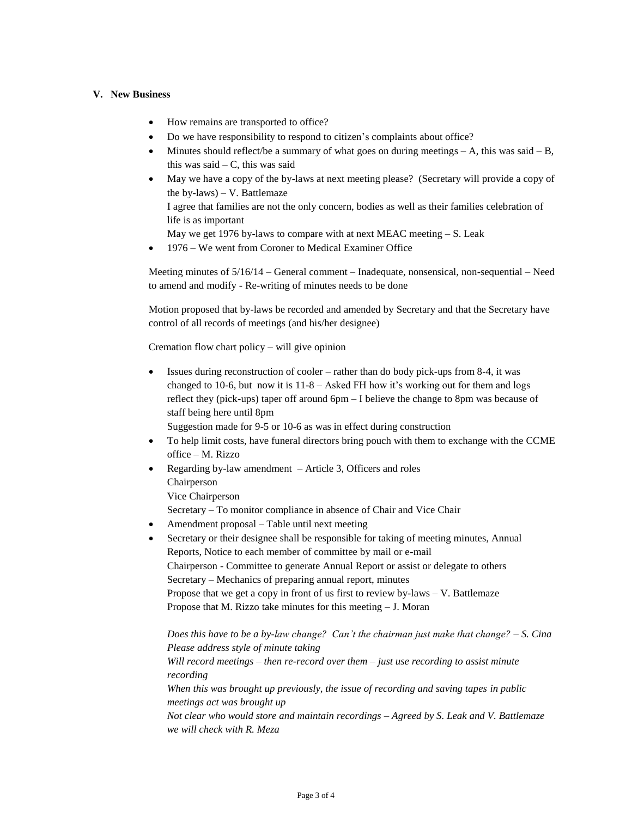### **V. New Business**

- How remains are transported to office?
- Do we have responsibility to respond to citizen's complaints about office?
- Minutes should reflect/be a summary of what goes on during meetings  $A$ , this was said  $B$ , this was said  $-$  C, this was said
- May we have a copy of the by-laws at next meeting please? (Secretary will provide a copy of the by-laws)  $-$  V. Battlemaze

I agree that families are not the only concern, bodies as well as their families celebration of life is as important

May we get 1976 by-laws to compare with at next MEAC meeting  $- S$ . Leak

• 1976 – We went from Coroner to Medical Examiner Office

Meeting minutes of 5/16/14 – General comment – Inadequate, nonsensical, non-sequential – Need to amend and modify - Re-writing of minutes needs to be done

Motion proposed that by-laws be recorded and amended by Secretary and that the Secretary have control of all records of meetings (and his/her designee)

Cremation flow chart policy – will give opinion

• Issues during reconstruction of cooler – rather than do body pick-ups from 8-4, it was changed to 10-6, but now it is 11-8 – Asked FH how it's working out for them and logs reflect they (pick-ups) taper off around 6pm – I believe the change to 8pm was because of staff being here until 8pm

Suggestion made for 9-5 or 10-6 as was in effect during construction

- To help limit costs, have funeral directors bring pouch with them to exchange with the CCME office – M. Rizzo
- Regarding by-law amendment  $-$  Article 3, Officers and roles Chairperson Vice Chairperson Secretary – To monitor compliance in absence of Chair and Vice Chair
- Amendment proposal Table until next meeting
- Secretary or their designee shall be responsible for taking of meeting minutes, Annual Reports, Notice to each member of committee by mail or e-mail Chairperson - Committee to generate Annual Report or assist or delegate to others Secretary – Mechanics of preparing annual report, minutes Propose that we get a copy in front of us first to review by-laws – V. Battlemaze Propose that M. Rizzo take minutes for this meeting – J. Moran

*Does this have to be a by-law change? Can't the chairman just make that change? – S. Cina Please address style of minute taking Will record meetings – then re-record over them – just use recording to assist minute recording When this was brought up previously, the issue of recording and saving tapes in public meetings act was brought up Not clear who would store and maintain recordings – Agreed by S. Leak and V. Battlemaze we will check with R. Meza*